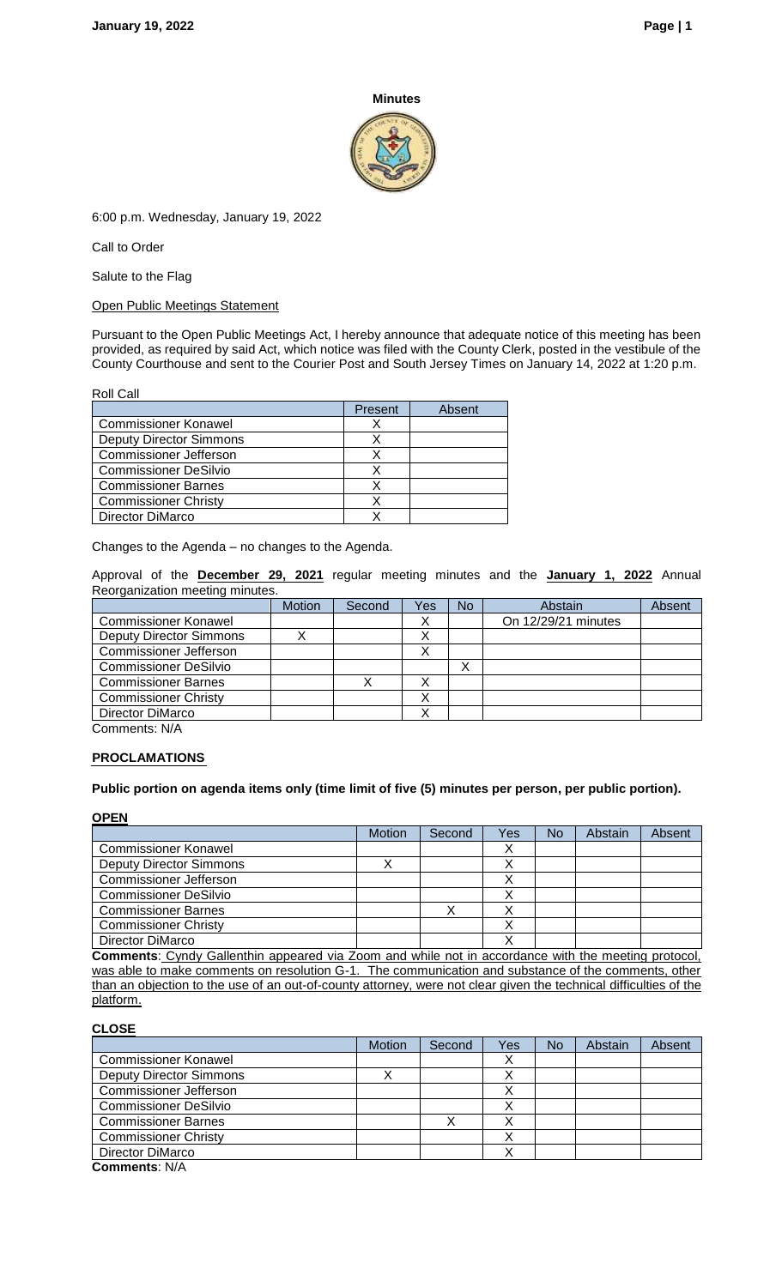#### **Minutes**



6:00 p.m. Wednesday, January 19, 2022

Call to Order

Salute to the Flag

Open Public Meetings Statement

Pursuant to the Open Public Meetings Act, I hereby announce that adequate notice of this meeting has been provided, as required by said Act, which notice was filed with the County Clerk, posted in the vestibule of the County Courthouse and sent to the Courier Post and South Jersey Times on January 14, 2022 at 1:20 p.m.

Roll Call

|                                | Present | Absent |
|--------------------------------|---------|--------|
| <b>Commissioner Konawel</b>    |         |        |
| <b>Deputy Director Simmons</b> |         |        |
| <b>Commissioner Jefferson</b>  |         |        |
| <b>Commissioner DeSilvio</b>   |         |        |
| <b>Commissioner Barnes</b>     |         |        |
| <b>Commissioner Christy</b>    |         |        |
| Director DiMarco               |         |        |

Changes to the Agenda – no changes to the Agenda.

Approval of the **December 29, 2021** regular meeting minutes and the **January 1, 2022** Annual Reorganization meeting minutes.

|                                | <b>Motion</b> | Second | Yes | N <sub>o</sub> | Abstain             | Absent |
|--------------------------------|---------------|--------|-----|----------------|---------------------|--------|
| <b>Commissioner Konawel</b>    |               |        |     |                | On 12/29/21 minutes |        |
| <b>Deputy Director Simmons</b> |               |        |     |                |                     |        |
| <b>Commissioner Jefferson</b>  |               |        |     |                |                     |        |
| <b>Commissioner DeSilvio</b>   |               |        |     | v<br>∧         |                     |        |
| <b>Commissioner Barnes</b>     |               |        |     |                |                     |        |
| <b>Commissioner Christy</b>    |               |        |     |                |                     |        |
| Director DiMarco               |               |        |     |                |                     |        |
| Comments: N/A                  |               |        |     |                |                     |        |

# **PROCLAMATIONS**

**Public portion on agenda items only (time limit of five (5) minutes per person, per public portion).**

**OPEN**

|                               | <b>Motion</b> | Second | Yes | No | Abstain | Absent |
|-------------------------------|---------------|--------|-----|----|---------|--------|
| <b>Commissioner Konawel</b>   |               |        |     |    |         |        |
| Deputy Director Simmons       |               |        |     |    |         |        |
| <b>Commissioner Jefferson</b> |               |        |     |    |         |        |
| <b>Commissioner DeSilvio</b>  |               |        |     |    |         |        |
| <b>Commissioner Barnes</b>    |               |        |     |    |         |        |
| <b>Commissioner Christy</b>   |               |        |     |    |         |        |
| Director DiMarco              |               |        |     |    |         |        |

**Comments**: Cyndy Gallenthin appeared via Zoom and while not in accordance with the meeting protocol, was able to make comments on resolution G-1. The communication and substance of the comments, other than an objection to the use of an out-of-county attorney, were not clear given the technical difficulties of the platform.

**CLOSE**

|                                | <b>Motion</b> | Second | Yes | <b>No</b> | Abstain | Absent |
|--------------------------------|---------------|--------|-----|-----------|---------|--------|
| <b>Commissioner Konawel</b>    |               |        |     |           |         |        |
| <b>Deputy Director Simmons</b> |               |        |     |           |         |        |
| <b>Commissioner Jefferson</b>  |               |        |     |           |         |        |
| <b>Commissioner DeSilvio</b>   |               |        |     |           |         |        |
| <b>Commissioner Barnes</b>     |               |        |     |           |         |        |
| <b>Commissioner Christy</b>    |               |        |     |           |         |        |
| Director DiMarco               |               |        |     |           |         |        |
| Common the: N/A                |               |        |     |           |         |        |

**Comments**: N/A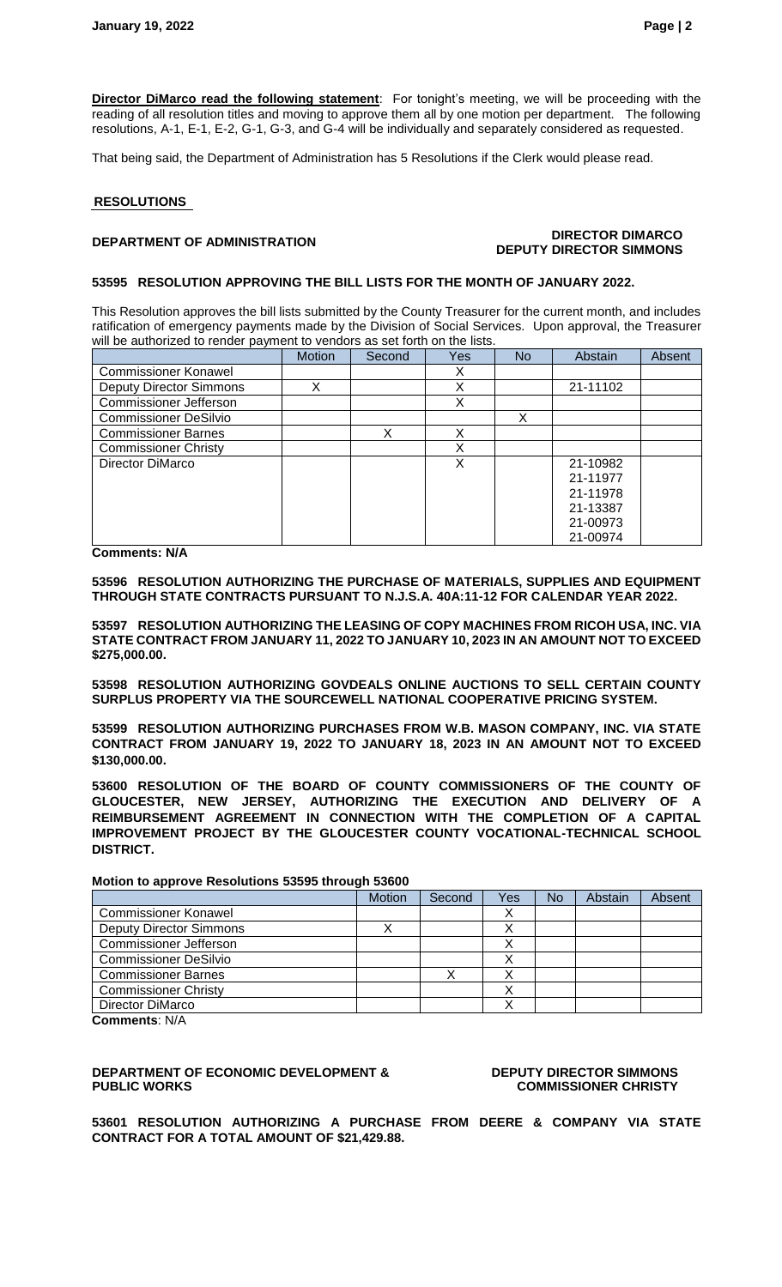**Director DiMarco read the following statement**: For tonight's meeting, we will be proceeding with the reading of all resolution titles and moving to approve them all by one motion per department. The following resolutions, A-1, E-1, E-2, G-1, G-3, and G-4 will be individually and separately considered as requested.

That being said, the Department of Administration has 5 Resolutions if the Clerk would please read.

### **RESOLUTIONS**

### **DEPARTMENT OF ADMINISTRATION DIRECTOR DIMARCO DEPUTY DIRECTOR SIMMONS**

#### **53595 RESOLUTION APPROVING THE BILL LISTS FOR THE MONTH OF JANUARY 2022.**

This Resolution approves the bill lists submitted by the County Treasurer for the current month, and includes ratification of emergency payments made by the Division of Social Services. Upon approval, the Treasurer will be authorized to render payment to vendors as set forth on the lists.

|                                | <b>Motion</b> | Second | Yes    | <b>No</b> | Abstain  | Absent |
|--------------------------------|---------------|--------|--------|-----------|----------|--------|
| <b>Commissioner Konawel</b>    |               |        | v<br>∧ |           |          |        |
| <b>Deputy Director Simmons</b> | x             |        | v      |           | 21-11102 |        |
| <b>Commissioner Jefferson</b>  |               |        | X      |           |          |        |
| <b>Commissioner DeSilvio</b>   |               |        |        | Χ         |          |        |
| <b>Commissioner Barnes</b>     |               | Χ      | X      |           |          |        |
| <b>Commissioner Christy</b>    |               |        | X      |           |          |        |
| Director DiMarco               |               |        | X      |           | 21-10982 |        |
|                                |               |        |        |           | 21-11977 |        |
|                                |               |        |        |           | 21-11978 |        |
|                                |               |        |        |           | 21-13387 |        |
|                                |               |        |        |           | 21-00973 |        |
|                                |               |        |        |           | 21-00974 |        |

**Comments: N/A**

**53596 RESOLUTION AUTHORIZING THE PURCHASE OF MATERIALS, SUPPLIES AND EQUIPMENT THROUGH STATE CONTRACTS PURSUANT TO N.J.S.A. 40A:11-12 FOR CALENDAR YEAR 2022.**

**53597 RESOLUTION AUTHORIZING THE LEASING OF COPY MACHINES FROM RICOH USA, INC. VIA STATE CONTRACT FROM JANUARY 11, 2022 TO JANUARY 10, 2023 IN AN AMOUNT NOT TO EXCEED \$275,000.00.**

**53598 RESOLUTION AUTHORIZING GOVDEALS ONLINE AUCTIONS TO SELL CERTAIN COUNTY SURPLUS PROPERTY VIA THE SOURCEWELL NATIONAL COOPERATIVE PRICING SYSTEM.** 

**53599 RESOLUTION AUTHORIZING PURCHASES FROM W.B. MASON COMPANY, INC. VIA STATE CONTRACT FROM JANUARY 19, 2022 TO JANUARY 18, 2023 IN AN AMOUNT NOT TO EXCEED \$130,000.00.**

**53600 RESOLUTION OF THE BOARD OF COUNTY COMMISSIONERS OF THE COUNTY OF GLOUCESTER, NEW JERSEY, AUTHORIZING THE EXECUTION AND DELIVERY OF A REIMBURSEMENT AGREEMENT IN CONNECTION WITH THE COMPLETION OF A CAPITAL IMPROVEMENT PROJECT BY THE GLOUCESTER COUNTY VOCATIONAL-TECHNICAL SCHOOL DISTRICT.**

**Motion to approve Resolutions 53595 through 53600**

|                                | <b>Motion</b> | Second | Yes       | No | Abstain | Absent |
|--------------------------------|---------------|--------|-----------|----|---------|--------|
| <b>Commissioner Konawel</b>    |               |        | $\lambda$ |    |         |        |
| <b>Deputy Director Simmons</b> |               |        |           |    |         |        |
| <b>Commissioner Jefferson</b>  |               |        | $\lambda$ |    |         |        |
| <b>Commissioner DeSilvio</b>   |               |        |           |    |         |        |
| <b>Commissioner Barnes</b>     |               |        |           |    |         |        |
| <b>Commissioner Christy</b>    |               |        |           |    |         |        |
| Director DiMarco               |               |        |           |    |         |        |

**Comments**: N/A

### **DEPARTMENT OF ECONOMIC DEVELOPMENT & PUBLIC WORKS**

#### **DEPUTY DIRECTOR SIMMONS COMMISSIONER CHRISTY**

**53601 RESOLUTION AUTHORIZING A PURCHASE FROM DEERE & COMPANY VIA STATE CONTRACT FOR A TOTAL AMOUNT OF \$21,429.88.**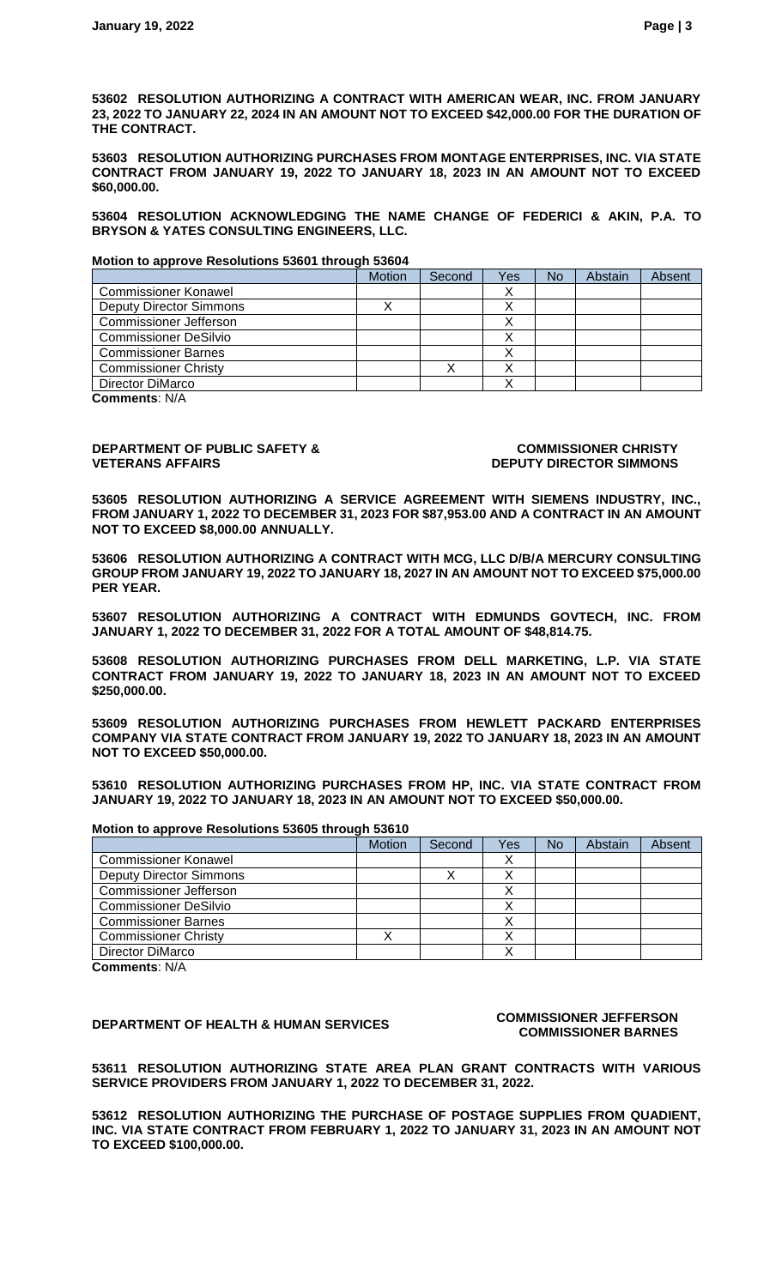**53602 RESOLUTION AUTHORIZING A CONTRACT WITH AMERICAN WEAR, INC. FROM JANUARY 23, 2022 TO JANUARY 22, 2024 IN AN AMOUNT NOT TO EXCEED \$42,000.00 FOR THE DURATION OF THE CONTRACT.**

**53603 RESOLUTION AUTHORIZING PURCHASES FROM MONTAGE ENTERPRISES, INC. VIA STATE CONTRACT FROM JANUARY 19, 2022 TO JANUARY 18, 2023 IN AN AMOUNT NOT TO EXCEED \$60,000.00.**

**53604 RESOLUTION ACKNOWLEDGING THE NAME CHANGE OF FEDERICI & AKIN, P.A. TO BRYSON & YATES CONSULTING ENGINEERS, LLC.**

**Motion to approve Resolutions 53601 through 53604**

|                                | <b>Motion</b> | Second | Yes | <b>No</b> | Abstain | Absent |
|--------------------------------|---------------|--------|-----|-----------|---------|--------|
| <b>Commissioner Konawel</b>    |               |        |     |           |         |        |
| <b>Deputy Director Simmons</b> |               |        |     |           |         |        |
| <b>Commissioner Jefferson</b>  |               |        |     |           |         |        |
| <b>Commissioner DeSilvio</b>   |               |        |     |           |         |        |
| <b>Commissioner Barnes</b>     |               |        |     |           |         |        |
| <b>Commissioner Christy</b>    |               |        |     |           |         |        |
| Director DiMarco               |               |        |     |           |         |        |

**Comments**: N/A

#### **DEPARTMENT OF PUBLIC SAFETY & VETERANS AFFAIRS**

#### **COMMISSIONER CHRISTY DEPUTY DIRECTOR SIMMONS**

**53605 RESOLUTION AUTHORIZING A SERVICE AGREEMENT WITH SIEMENS INDUSTRY, INC., FROM JANUARY 1, 2022 TO DECEMBER 31, 2023 FOR \$87,953.00 AND A CONTRACT IN AN AMOUNT NOT TO EXCEED \$8,000.00 ANNUALLY.**

**53606 RESOLUTION AUTHORIZING A CONTRACT WITH MCG, LLC D/B/A MERCURY CONSULTING GROUP FROM JANUARY 19, 2022 TO JANUARY 18, 2027 IN AN AMOUNT NOT TO EXCEED \$75,000.00 PER YEAR.**

**53607 RESOLUTION AUTHORIZING A CONTRACT WITH EDMUNDS GOVTECH, INC. FROM JANUARY 1, 2022 TO DECEMBER 31, 2022 FOR A TOTAL AMOUNT OF \$48,814.75.**

**53608 RESOLUTION AUTHORIZING PURCHASES FROM DELL MARKETING, L.P. VIA STATE CONTRACT FROM JANUARY 19, 2022 TO JANUARY 18, 2023 IN AN AMOUNT NOT TO EXCEED \$250,000.00.**

**53609 RESOLUTION AUTHORIZING PURCHASES FROM HEWLETT PACKARD ENTERPRISES COMPANY VIA STATE CONTRACT FROM JANUARY 19, 2022 TO JANUARY 18, 2023 IN AN AMOUNT NOT TO EXCEED \$50,000.00.**

**53610 RESOLUTION AUTHORIZING PURCHASES FROM HP, INC. VIA STATE CONTRACT FROM JANUARY 19, 2022 TO JANUARY 18, 2023 IN AN AMOUNT NOT TO EXCEED \$50,000.00.**

|                                | Motion | Second | Yes | <b>No</b> | Abstain | Absent |
|--------------------------------|--------|--------|-----|-----------|---------|--------|
| <b>Commissioner Konawel</b>    |        |        |     |           |         |        |
| <b>Deputy Director Simmons</b> |        |        |     |           |         |        |
| <b>Commissioner Jefferson</b>  |        |        |     |           |         |        |
| <b>Commissioner DeSilvio</b>   |        |        |     |           |         |        |
| <b>Commissioner Barnes</b>     |        |        |     |           |         |        |
| <b>Commissioner Christy</b>    |        |        |     |           |         |        |
| Director DiMarco               |        |        |     |           |         |        |

**Comments**: N/A

## **DEPARTMENT OF HEALTH & HUMAN SERVICES COMMISSIONER JEFFERSON**

**Motion to approve Resolutions 53605 through 53610**

# **COMMISSIONER BARNES**

**53611 RESOLUTION AUTHORIZING STATE AREA PLAN GRANT CONTRACTS WITH VARIOUS SERVICE PROVIDERS FROM JANUARY 1, 2022 TO DECEMBER 31, 2022.**

**53612 RESOLUTION AUTHORIZING THE PURCHASE OF POSTAGE SUPPLIES FROM QUADIENT, INC. VIA STATE CONTRACT FROM FEBRUARY 1, 2022 TO JANUARY 31, 2023 IN AN AMOUNT NOT TO EXCEED \$100,000.00.**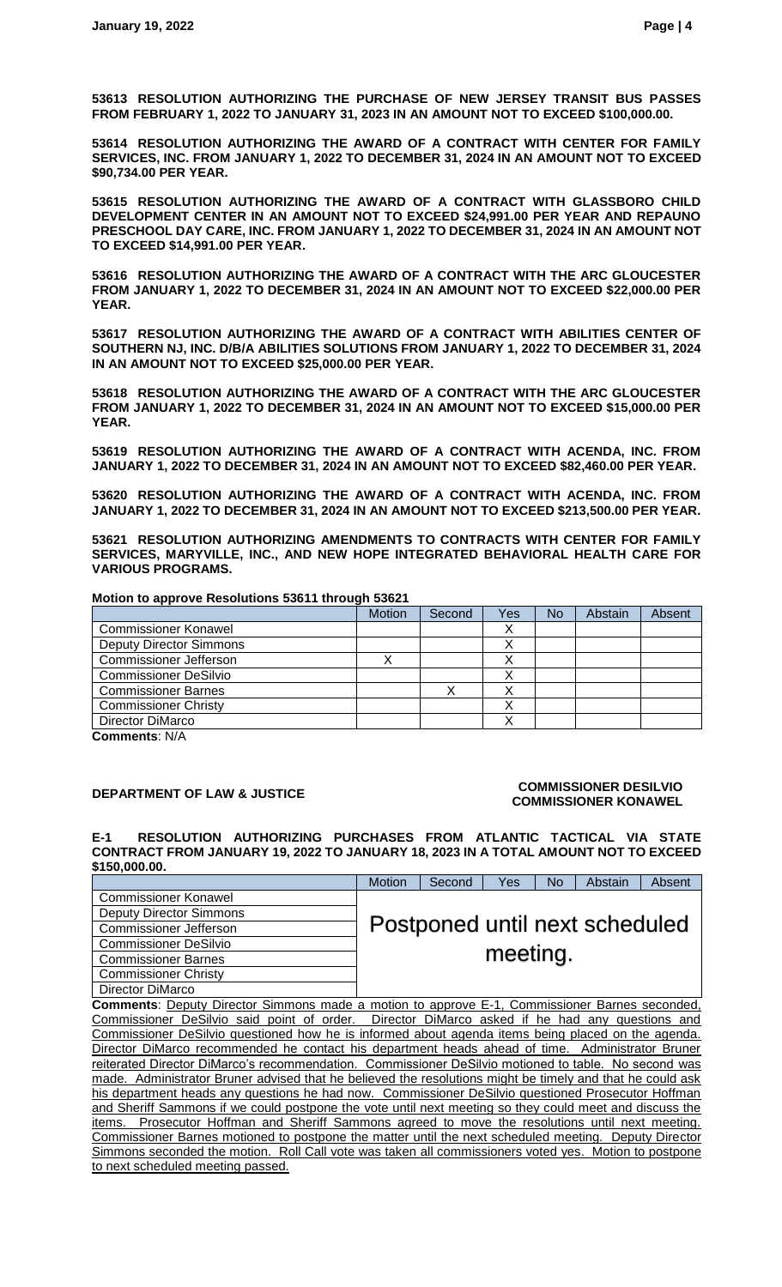**53613 RESOLUTION AUTHORIZING THE PURCHASE OF NEW JERSEY TRANSIT BUS PASSES FROM FEBRUARY 1, 2022 TO JANUARY 31, 2023 IN AN AMOUNT NOT TO EXCEED \$100,000.00.**

**53614 RESOLUTION AUTHORIZING THE AWARD OF A CONTRACT WITH CENTER FOR FAMILY SERVICES, INC. FROM JANUARY 1, 2022 TO DECEMBER 31, 2024 IN AN AMOUNT NOT TO EXCEED \$90,734.00 PER YEAR.**

**53615 RESOLUTION AUTHORIZING THE AWARD OF A CONTRACT WITH GLASSBORO CHILD DEVELOPMENT CENTER IN AN AMOUNT NOT TO EXCEED \$24,991.00 PER YEAR AND REPAUNO PRESCHOOL DAY CARE, INC. FROM JANUARY 1, 2022 TO DECEMBER 31, 2024 IN AN AMOUNT NOT TO EXCEED \$14,991.00 PER YEAR.** 

**53616 RESOLUTION AUTHORIZING THE AWARD OF A CONTRACT WITH THE ARC GLOUCESTER FROM JANUARY 1, 2022 TO DECEMBER 31, 2024 IN AN AMOUNT NOT TO EXCEED \$22,000.00 PER YEAR.**

**53617 RESOLUTION AUTHORIZING THE AWARD OF A CONTRACT WITH ABILITIES CENTER OF SOUTHERN NJ, INC. D/B/A ABILITIES SOLUTIONS FROM JANUARY 1, 2022 TO DECEMBER 31, 2024 IN AN AMOUNT NOT TO EXCEED \$25,000.00 PER YEAR.**

**53618 RESOLUTION AUTHORIZING THE AWARD OF A CONTRACT WITH THE ARC GLOUCESTER FROM JANUARY 1, 2022 TO DECEMBER 31, 2024 IN AN AMOUNT NOT TO EXCEED \$15,000.00 PER YEAR.**

**53619 RESOLUTION AUTHORIZING THE AWARD OF A CONTRACT WITH ACENDA, INC. FROM JANUARY 1, 2022 TO DECEMBER 31, 2024 IN AN AMOUNT NOT TO EXCEED \$82,460.00 PER YEAR.**

**53620 RESOLUTION AUTHORIZING THE AWARD OF A CONTRACT WITH ACENDA, INC. FROM JANUARY 1, 2022 TO DECEMBER 31, 2024 IN AN AMOUNT NOT TO EXCEED \$213,500.00 PER YEAR.**

**53621 RESOLUTION AUTHORIZING AMENDMENTS TO CONTRACTS WITH CENTER FOR FAMILY SERVICES, MARYVILLE, INC., AND NEW HOPE INTEGRATED BEHAVIORAL HEALTH CARE FOR VARIOUS PROGRAMS.**

**Motion to approve Resolutions 53611 through 53621**

|                                | Motion | Second | Yes | No | Abstain | Absent |
|--------------------------------|--------|--------|-----|----|---------|--------|
| <b>Commissioner Konawel</b>    |        |        |     |    |         |        |
| <b>Deputy Director Simmons</b> |        |        |     |    |         |        |
| <b>Commissioner Jefferson</b>  |        |        |     |    |         |        |
| <b>Commissioner DeSilvio</b>   |        |        |     |    |         |        |
| <b>Commissioner Barnes</b>     |        |        |     |    |         |        |
| <b>Commissioner Christy</b>    |        |        |     |    |         |        |
| Director DiMarco               |        |        |     |    |         |        |
|                                |        |        |     |    |         |        |

**Comments**: N/A

### **DEPARTMENT OF LAW & JUSTICE COMMISSIONER DESILVIO COMMISSIONER KONAWEL**

**E-1 RESOLUTION AUTHORIZING PURCHASES FROM ATLANTIC TACTICAL VIA STATE CONTRACT FROM JANUARY 19, 2022 TO JANUARY 18, 2023 IN A TOTAL AMOUNT NOT TO EXCEED \$150,000.00.**

|                                | Motion | Second | Yes      | <b>No</b> | Abstain                        | Absent |
|--------------------------------|--------|--------|----------|-----------|--------------------------------|--------|
| <b>Commissioner Konawel</b>    |        |        |          |           |                                |        |
| <b>Deputy Director Simmons</b> |        |        |          |           |                                |        |
| <b>Commissioner Jefferson</b>  |        |        |          |           | Postponed until next scheduled |        |
| <b>Commissioner DeSilvio</b>   |        |        |          |           |                                |        |
| <b>Commissioner Barnes</b>     |        |        | meeting. |           |                                |        |
| <b>Commissioner Christy</b>    |        |        |          |           |                                |        |
| Director DiMarco               |        |        |          |           |                                |        |

**Comments**: Deputy Director Simmons made a motion to approve E-1, Commissioner Barnes seconded, Commissioner DeSilvio said point of order. Director DiMarco asked if he had any questions and Commissioner DeSilvio questioned how he is informed about agenda items being placed on the agenda. Director DiMarco recommended he contact his department heads ahead of time. Administrator Bruner reiterated Director DiMarco's recommendation. Commissioner DeSilvio motioned to table. No second was made. Administrator Bruner advised that he believed the resolutions might be timely and that he could ask his department heads any questions he had now. Commissioner DeSilvio questioned Prosecutor Hoffman and Sheriff Sammons if we could postpone the vote until next meeting so they could meet and discuss the items. Prosecutor Hoffman and Sheriff Sammons agreed to move the resolutions until next meeting. Commissioner Barnes motioned to postpone the matter until the next scheduled meeting. Deputy Director Simmons seconded the motion. Roll Call vote was taken all commissioners voted yes. Motion to postpone to next scheduled meeting passed.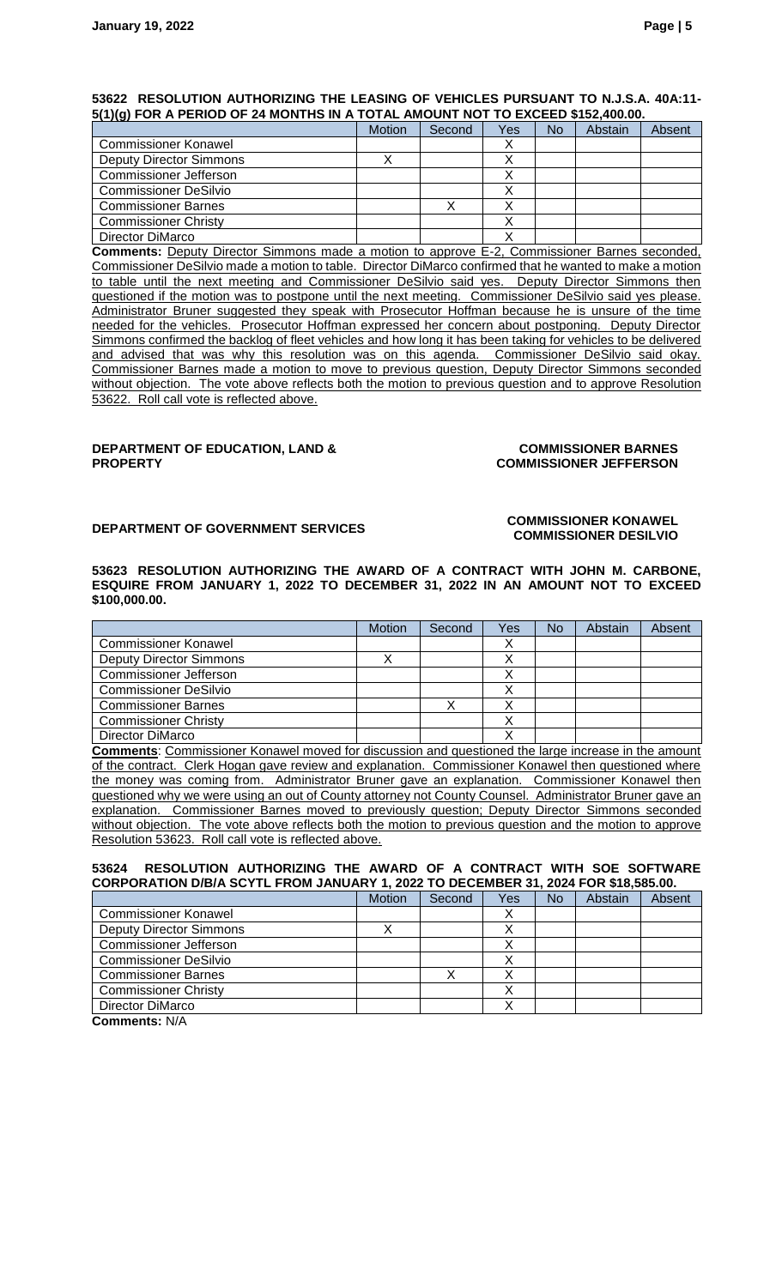#### **53622 RESOLUTION AUTHORIZING THE LEASING OF VEHICLES PURSUANT TO N.J.S.A. 40A:11- 5(1)(g) FOR A PERIOD OF 24 MONTHS IN A TOTAL AMOUNT NOT TO EXCEED \$152,400.00.**

| - 1197 -                       |               |        |     |           |         |        |
|--------------------------------|---------------|--------|-----|-----------|---------|--------|
|                                | <b>Motion</b> | Second | Yes | <b>No</b> | Abstain | Absent |
| <b>Commissioner Konawel</b>    |               |        |     |           |         |        |
| <b>Deputy Director Simmons</b> |               |        |     |           |         |        |
| <b>Commissioner Jefferson</b>  |               |        |     |           |         |        |
| <b>Commissioner DeSilvio</b>   |               |        |     |           |         |        |
| <b>Commissioner Barnes</b>     |               |        |     |           |         |        |
| <b>Commissioner Christy</b>    |               |        |     |           |         |        |
| Director DiMarco               |               |        |     |           |         |        |

**Comments:** Deputy Director Simmons made a motion to approve E-2, Commissioner Barnes seconded, Commissioner DeSilvio made a motion to table. Director DiMarco confirmed that he wanted to make a motion to table until the next meeting and Commissioner DeSilvio said yes. Deputy Director Simmons then questioned if the motion was to postpone until the next meeting. Commissioner DeSilvio said yes please. Administrator Bruner suggested they speak with Prosecutor Hoffman because he is unsure of the time needed for the vehicles. Prosecutor Hoffman expressed her concern about postponing. Deputy Director Simmons confirmed the backlog of fleet vehicles and how long it has been taking for vehicles to be delivered and advised that was why this resolution was on this agenda. Commissioner DeSilvio said okay. Commissioner Barnes made a motion to move to previous question, Deputy Director Simmons seconded without objection. The vote above reflects both the motion to previous question and to approve Resolution 53622. Roll call vote is reflected above.

#### **DEPARTMENT OF EDUCATION, LAND & PROPERTY**

#### **COMMISSIONER BARNES COMMISSIONER JEFFERSON**

#### **DEPARTMENT OF GOVERNMENT SERVICES**<br>COMMISSIONER KONAWEL **COMMISSIONER DESILVIO**

**53623 RESOLUTION AUTHORIZING THE AWARD OF A CONTRACT WITH JOHN M. CARBONE, ESQUIRE FROM JANUARY 1, 2022 TO DECEMBER 31, 2022 IN AN AMOUNT NOT TO EXCEED \$100,000.00.**

|                                | Motion | Second | Yes | No | Abstain | Absent |
|--------------------------------|--------|--------|-----|----|---------|--------|
| <b>Commissioner Konawel</b>    |        |        |     |    |         |        |
| <b>Deputy Director Simmons</b> |        |        |     |    |         |        |
| <b>Commissioner Jefferson</b>  |        |        |     |    |         |        |
| <b>Commissioner DeSilvio</b>   |        |        |     |    |         |        |
| <b>Commissioner Barnes</b>     |        |        |     |    |         |        |
| <b>Commissioner Christy</b>    |        |        |     |    |         |        |
| Director DiMarco               |        |        |     |    |         |        |

**Comments**: Commissioner Konawel moved for discussion and questioned the large increase in the amount of the contract. Clerk Hogan gave review and explanation. Commissioner Konawel then questioned where the money was coming from. Administrator Bruner gave an explanation. Commissioner Konawel then questioned why we were using an out of County attorney not County Counsel. Administrator Bruner gave an explanation. Commissioner Barnes moved to previously question; Deputy Director Simmons seconded without objection. The vote above reflects both the motion to previous question and the motion to approve Resolution 53623. Roll call vote is reflected above.

#### **53624 RESOLUTION AUTHORIZING THE AWARD OF A CONTRACT WITH SOE SOFTWARE CORPORATION D/B/A SCYTL FROM JANUARY 1, 2022 TO DECEMBER 31, 2024 FOR \$18,585.00.**

|                                | Motion | Second | Yes | No | Abstain | Absent |
|--------------------------------|--------|--------|-----|----|---------|--------|
| <b>Commissioner Konawel</b>    |        |        |     |    |         |        |
| <b>Deputy Director Simmons</b> |        |        |     |    |         |        |
| <b>Commissioner Jefferson</b>  |        |        |     |    |         |        |
| <b>Commissioner DeSilvio</b>   |        |        |     |    |         |        |
| <b>Commissioner Barnes</b>     |        |        |     |    |         |        |
| <b>Commissioner Christy</b>    |        |        |     |    |         |        |
| Director DiMarco               |        |        |     |    |         |        |
| $A - 1$                        |        |        |     |    |         |        |

**Comments:** N/A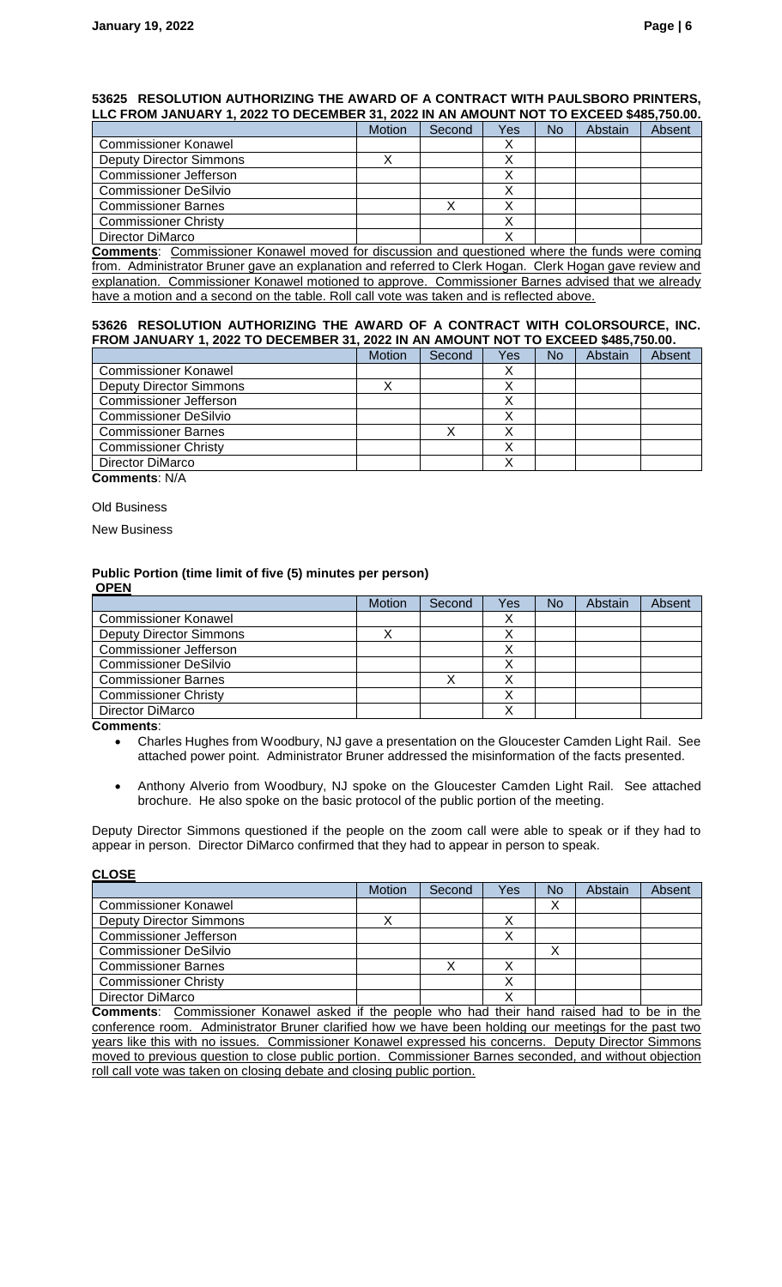#### **53625 RESOLUTION AUTHORIZING THE AWARD OF A CONTRACT WITH PAULSBORO PRINTERS, LLC FROM JANUARY 1, 2022 TO DECEMBER 31, 2022 IN AN AMOUNT NOT TO EXCEED \$485,750.00.**

|                                | Motion | Second | Yes | <b>No</b> | Abstain | Absent |
|--------------------------------|--------|--------|-----|-----------|---------|--------|
| <b>Commissioner Konawel</b>    |        |        |     |           |         |        |
| <b>Deputy Director Simmons</b> |        |        |     |           |         |        |
| <b>Commissioner Jefferson</b>  |        |        |     |           |         |        |
| <b>Commissioner DeSilvio</b>   |        |        |     |           |         |        |
| <b>Commissioner Barnes</b>     |        |        |     |           |         |        |
| <b>Commissioner Christy</b>    |        |        |     |           |         |        |
| Director DiMarco               |        |        |     |           |         |        |

**Comments**: Commissioner Konawel moved for discussion and questioned where the funds were coming from. Administrator Bruner gave an explanation and referred to Clerk Hogan. Clerk Hogan gave review and explanation. Commissioner Konawel motioned to approve. Commissioner Barnes advised that we already have a motion and a second on the table. Roll call vote was taken and is reflected above.

#### **53626 RESOLUTION AUTHORIZING THE AWARD OF A CONTRACT WITH COLORSOURCE, INC. FROM JANUARY 1, 2022 TO DECEMBER 31, 2022 IN AN AMOUNT NOT TO EXCEED \$485,750.00.**

|                                | <b>Motion</b> | Second | Yes | No | Abstain | Absent |
|--------------------------------|---------------|--------|-----|----|---------|--------|
| <b>Commissioner Konawel</b>    |               |        |     |    |         |        |
| <b>Deputy Director Simmons</b> |               |        |     |    |         |        |
| Commissioner Jefferson         |               |        |     |    |         |        |
| <b>Commissioner DeSilvio</b>   |               |        |     |    |         |        |
| <b>Commissioner Barnes</b>     |               |        |     |    |         |        |
| <b>Commissioner Christy</b>    |               |        |     |    |         |        |
| Director DiMarco               |               |        |     |    |         |        |

**Comments**: N/A

Old Business

New Business

#### **Public Portion (time limit of five (5) minutes per person) OPEN**

|                                                  | Motion | Second | Yes       | <b>No</b> | Abstain | Absent |
|--------------------------------------------------|--------|--------|-----------|-----------|---------|--------|
| <b>Commissioner Konawel</b>                      |        |        | $\lambda$ |           |         |        |
| <b>Deputy Director Simmons</b>                   |        |        |           |           |         |        |
| Commissioner Jefferson                           |        |        |           |           |         |        |
| <b>Commissioner DeSilvio</b>                     |        |        |           |           |         |        |
| <b>Commissioner Barnes</b>                       |        |        |           |           |         |        |
| <b>Commissioner Christy</b>                      |        |        |           |           |         |        |
| Director DiMarco                                 |        |        |           |           |         |        |
| $\mathbf{a}$ and $\mathbf{a}$ and $\mathbf{a}$ . |        |        |           |           |         |        |

**Comments**:

- Charles Hughes from Woodbury, NJ gave a presentation on the Gloucester Camden Light Rail. See attached power point. Administrator Bruner addressed the misinformation of the facts presented.
- Anthony Alverio from Woodbury, NJ spoke on the Gloucester Camden Light Rail. See attached brochure. He also spoke on the basic protocol of the public portion of the meeting.

Deputy Director Simmons questioned if the people on the zoom call were able to speak or if they had to appear in person. Director DiMarco confirmed that they had to appear in person to speak.

#### **CLOSE**

|                                | <b>Motion</b> | Second | Yes | No | Abstain | Absent |
|--------------------------------|---------------|--------|-----|----|---------|--------|
| <b>Commissioner Konawel</b>    |               |        |     | ⌒  |         |        |
| <b>Deputy Director Simmons</b> |               |        |     |    |         |        |
| <b>Commissioner Jefferson</b>  |               |        |     |    |         |        |
| <b>Commissioner DeSilvio</b>   |               |        |     | ↗  |         |        |
| <b>Commissioner Barnes</b>     |               |        |     |    |         |        |
| <b>Commissioner Christy</b>    |               |        |     |    |         |        |
| Director DiMarco               |               |        |     |    |         |        |

**Comments**: Commissioner Konawel asked if the people who had their hand raised had to be in the conference room. Administrator Bruner clarified how we have been holding our meetings for the past two years like this with no issues. Commissioner Konawel expressed his concerns. Deputy Director Simmons moved to previous question to close public portion. Commissioner Barnes seconded, and without objection roll call vote was taken on closing debate and closing public portion.